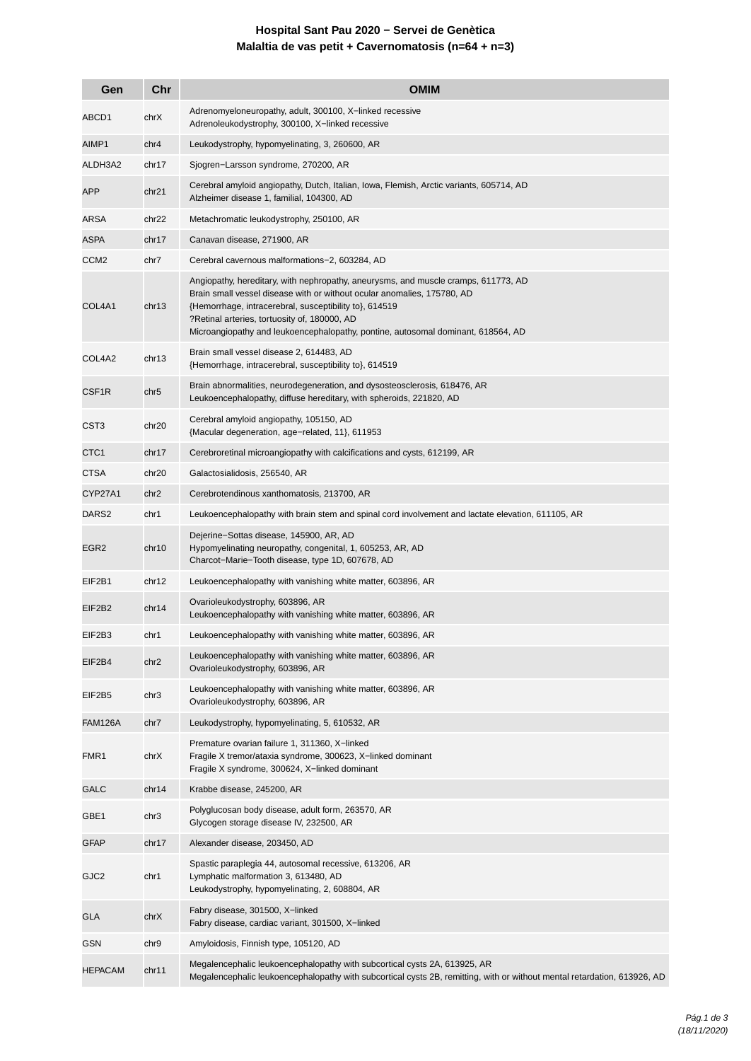## **Hospital Sant Pau 2020 − Servei de Genètica Malaltia de vas petit + Cavernomatosis (n=64 + n=3)**

| Gen               | Chr               | <b>OMIM</b>                                                                                                                                                                                                                                                                                                                                                 |
|-------------------|-------------------|-------------------------------------------------------------------------------------------------------------------------------------------------------------------------------------------------------------------------------------------------------------------------------------------------------------------------------------------------------------|
| ABCD1             | chrX              | Adrenomyeloneuropathy, adult, 300100, X-linked recessive<br>Adrenoleukodystrophy, 300100, X-linked recessive                                                                                                                                                                                                                                                |
| AIMP1             | chr4              | Leukodystrophy, hypomyelinating, 3, 260600, AR                                                                                                                                                                                                                                                                                                              |
| ALDH3A2           | chr17             | Sjogren-Larsson syndrome, 270200, AR                                                                                                                                                                                                                                                                                                                        |
| APP               | chr21             | Cerebral amyloid angiopathy, Dutch, Italian, Iowa, Flemish, Arctic variants, 605714, AD<br>Alzheimer disease 1, familial, 104300, AD                                                                                                                                                                                                                        |
| ARSA              | chr22             | Metachromatic leukodystrophy, 250100, AR                                                                                                                                                                                                                                                                                                                    |
| ASPA              | chr17             | Canavan disease, 271900, AR                                                                                                                                                                                                                                                                                                                                 |
| CCM <sub>2</sub>  | chr7              | Cerebral cavernous malformations-2, 603284, AD                                                                                                                                                                                                                                                                                                              |
| COL4A1            | chr13             | Angiopathy, hereditary, with nephropathy, aneurysms, and muscle cramps, 611773, AD<br>Brain small vessel disease with or without ocular anomalies, 175780, AD<br>{Hemorrhage, intracerebral, susceptibility to}, 614519<br>?Retinal arteries, tortuosity of, 180000, AD<br>Microangiopathy and leukoencephalopathy, pontine, autosomal dominant, 618564, AD |
| COL4A2            | chr13             | Brain small vessel disease 2, 614483, AD<br>{Hemorrhage, intracerebral, susceptibility to}, 614519                                                                                                                                                                                                                                                          |
| CSF1R             | chr5              | Brain abnormalities, neurodegeneration, and dysosteosclerosis, 618476, AR<br>Leukoencephalopathy, diffuse hereditary, with spheroids, 221820, AD                                                                                                                                                                                                            |
| CST <sub>3</sub>  | chr20             | Cerebral amyloid angiopathy, 105150, AD<br>{Macular degeneration, age-related, 11}, 611953                                                                                                                                                                                                                                                                  |
| CTC <sub>1</sub>  | chr17             | Cerebroretinal microangiopathy with calcifications and cysts, 612199, AR                                                                                                                                                                                                                                                                                    |
| <b>CTSA</b>       | chr <sub>20</sub> | Galactosialidosis, 256540, AR                                                                                                                                                                                                                                                                                                                               |
| CYP27A1           | chr <sub>2</sub>  | Cerebrotendinous xanthomatosis, 213700, AR                                                                                                                                                                                                                                                                                                                  |
| DARS <sub>2</sub> | chr1              | Leukoencephalopathy with brain stem and spinal cord involvement and lactate elevation, 611105, AR                                                                                                                                                                                                                                                           |
| EGR <sub>2</sub>  | chr10             | Dejerine-Sottas disease, 145900, AR, AD<br>Hypomyelinating neuropathy, congenital, 1, 605253, AR, AD<br>Charcot-Marie-Tooth disease, type 1D, 607678, AD                                                                                                                                                                                                    |
| EIF2B1            | chr12             | Leukoencephalopathy with vanishing white matter, 603896, AR                                                                                                                                                                                                                                                                                                 |
| EIF2B2            | chr14             | Ovarioleukodystrophy, 603896, AR<br>Leukoencephalopathy with vanishing white matter, 603896, AR                                                                                                                                                                                                                                                             |
| EIF2B3            | chr1              | Leukoencephalopathy with vanishing white matter, 603896, AR                                                                                                                                                                                                                                                                                                 |
| EIF2B4            | chr <sub>2</sub>  | Leukoencephalopathy with vanishing white matter, 603896, AR<br>Ovarioleukodystrophy, 603896, AR                                                                                                                                                                                                                                                             |
| EIF2B5            | chr3              | Leukoencephalopathy with vanishing white matter, 603896, AR<br>Ovarioleukodystrophy, 603896, AR                                                                                                                                                                                                                                                             |
| <b>FAM126A</b>    | chr7              | Leukodystrophy, hypomyelinating, 5, 610532, AR                                                                                                                                                                                                                                                                                                              |
| FMR1              | chrX              | Premature ovarian failure 1, 311360, X-linked<br>Fragile X tremor/ataxia syndrome, 300623, X-linked dominant<br>Fragile X syndrome, 300624, X-linked dominant                                                                                                                                                                                               |
| GALC              | chr14             | Krabbe disease, 245200, AR                                                                                                                                                                                                                                                                                                                                  |
| GBE1              | chr3              | Polyglucosan body disease, adult form, 263570, AR<br>Glycogen storage disease IV, 232500, AR                                                                                                                                                                                                                                                                |
| <b>GFAP</b>       | chr17             | Alexander disease, 203450, AD                                                                                                                                                                                                                                                                                                                               |
| GJC <sub>2</sub>  | chr1              | Spastic paraplegia 44, autosomal recessive, 613206, AR<br>Lymphatic malformation 3, 613480, AD<br>Leukodystrophy, hypomyelinating, 2, 608804, AR                                                                                                                                                                                                            |
| <b>GLA</b>        | chrX              | Fabry disease, 301500, X-linked<br>Fabry disease, cardiac variant, 301500, X-linked                                                                                                                                                                                                                                                                         |
| GSN               | chr9              | Amyloidosis, Finnish type, 105120, AD                                                                                                                                                                                                                                                                                                                       |
| <b>HEPACAM</b>    | chr11             | Megalencephalic leukoencephalopathy with subcortical cysts 2A, 613925, AR<br>Megalencephalic leukoencephalopathy with subcortical cysts 2B, remitting, with or without mental retardation, 613926, AD                                                                                                                                                       |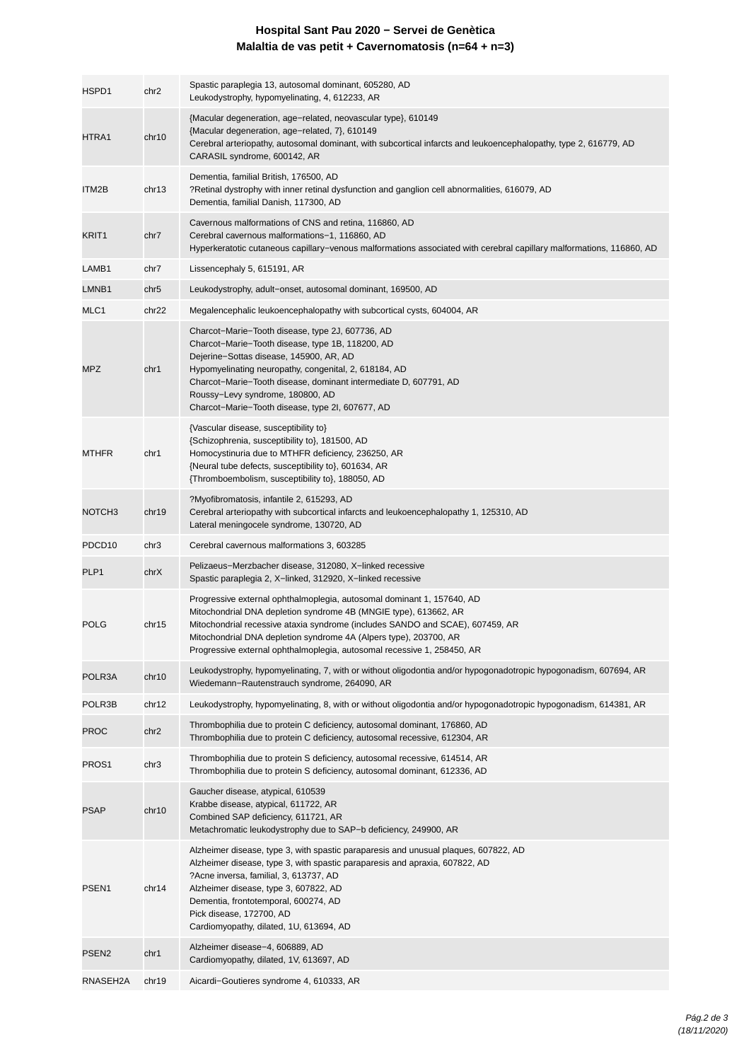## **Hospital Sant Pau 2020 − Servei de Genètica Malaltia de vas petit + Cavernomatosis (n=64 + n=3)**

| HSPD1              | chr2              | Spastic paraplegia 13, autosomal dominant, 605280, AD<br>Leukodystrophy, hypomyelinating, 4, 612233, AR                                                                                                                                                                                                                                                                     |
|--------------------|-------------------|-----------------------------------------------------------------------------------------------------------------------------------------------------------------------------------------------------------------------------------------------------------------------------------------------------------------------------------------------------------------------------|
| HTRA1              | chr10             | {Macular degeneration, age-related, neovascular type}, 610149<br>{Macular degeneration, age-related, 7}, 610149<br>Cerebral arteriopathy, autosomal dominant, with subcortical infarcts and leukoencephalopathy, type 2, 616779, AD<br>CARASIL syndrome, 600142, AR                                                                                                         |
| ITM2B              | chr13             | Dementia, familial British, 176500, AD<br>?Retinal dystrophy with inner retinal dysfunction and ganglion cell abnormalities, 616079, AD<br>Dementia, familial Danish, 117300, AD                                                                                                                                                                                            |
| KRIT <sub>1</sub>  | chr7              | Cavernous malformations of CNS and retina, 116860, AD<br>Cerebral cavernous malformations-1, 116860, AD<br>Hyperkeratotic cutaneous capillary–venous malformations associated with cerebral capillary malformations, 116860, AD                                                                                                                                             |
| LAMB1              | chr7              | Lissencephaly 5, 615191, AR                                                                                                                                                                                                                                                                                                                                                 |
| LMNB1              | chr5              | Leukodystrophy, adult–onset, autosomal dominant, 169500, AD                                                                                                                                                                                                                                                                                                                 |
| MLC1               | chr <sub>22</sub> | Megalencephalic leukoencephalopathy with subcortical cysts, 604004, AR                                                                                                                                                                                                                                                                                                      |
| MPZ                | chr1              | Charcot-Marie-Tooth disease, type 2J, 607736, AD<br>Charcot-Marie-Tooth disease, type 1B, 118200, AD<br>Dejerine-Sottas disease, 145900, AR, AD<br>Hypomyelinating neuropathy, congenital, 2, 618184, AD<br>Charcot-Marie-Tooth disease, dominant intermediate D, 607791, AD<br>Roussy-Levy syndrome, 180800, AD<br>Charcot-Marie-Tooth disease, type 2I, 607677, AD        |
| <b>MTHFR</b>       | chr1              | {Vascular disease, susceptibility to}<br>{Schizophrenia, susceptibility to}, 181500, AD<br>Homocystinuria due to MTHFR deficiency, 236250, AR<br>{Neural tube defects, susceptibility to}, 601634, AR<br>{Thromboembolism, susceptibility to}, 188050, AD                                                                                                                   |
| NOTCH <sub>3</sub> | chr19             | ?Myofibromatosis, infantile 2, 615293, AD<br>Cerebral arteriopathy with subcortical infarcts and leukoencephalopathy 1, 125310, AD<br>Lateral meningocele syndrome, 130720, AD                                                                                                                                                                                              |
| PDCD <sub>10</sub> | chr3              | Cerebral cavernous malformations 3, 603285                                                                                                                                                                                                                                                                                                                                  |
| PLP1               | chrX              | Pelizaeus-Merzbacher disease, 312080, X-linked recessive<br>Spastic paraplegia 2, X-linked, 312920, X-linked recessive                                                                                                                                                                                                                                                      |
| <b>POLG</b>        | chr15             | Progressive external ophthalmoplegia, autosomal dominant 1, 157640, AD<br>Mitochondrial DNA depletion syndrome 4B (MNGIE type), 613662, AR<br>Mitochondrial recessive ataxia syndrome (includes SANDO and SCAE), 607459, AR<br>Mitochondrial DNA depletion syndrome 4A (Alpers type), 203700, AR<br>Progressive external ophthalmoplegia, autosomal recessive 1, 258450, AR |
| POLR3A             | chr10             | Leukodystrophy, hypomyelinating, 7, with or without oligodontia and/or hypogonadotropic hypogonadism, 607694, AR<br>Wiedemann-Rautenstrauch syndrome, 264090, AR                                                                                                                                                                                                            |
| POLR3B             | chr12             | Leukodystrophy, hypomyelinating, 8, with or without oligodontia and/or hypogonadotropic hypogonadism, 614381, AR                                                                                                                                                                                                                                                            |
| <b>PROC</b>        | chr2              | Thrombophilia due to protein C deficiency, autosomal dominant, 176860, AD<br>Thrombophilia due to protein C deficiency, autosomal recessive, 612304, AR                                                                                                                                                                                                                     |
| PROS <sub>1</sub>  | chr3              | Thrombophilia due to protein S deficiency, autosomal recessive, 614514, AR<br>Thrombophilia due to protein S deficiency, autosomal dominant, 612336, AD                                                                                                                                                                                                                     |
| <b>PSAP</b>        | chr10             | Gaucher disease, atypical, 610539<br>Krabbe disease, atypical, 611722, AR<br>Combined SAP deficiency, 611721, AR<br>Metachromatic leukodystrophy due to SAP-b deficiency, 249900, AR                                                                                                                                                                                        |
| PSEN <sub>1</sub>  | chr14             | Alzheimer disease, type 3, with spastic paraparesis and unusual plaques, 607822, AD<br>Alzheimer disease, type 3, with spastic paraparesis and apraxia, 607822, AD<br>?Acne inversa, familial, 3, 613737, AD<br>Alzheimer disease, type 3, 607822, AD<br>Dementia, frontotemporal, 600274, AD<br>Pick disease, 172700, AD<br>Cardiomyopathy, dilated, 1U, 613694, AD        |
| PSEN <sub>2</sub>  | chr1              | Alzheimer disease-4, 606889, AD<br>Cardiomyopathy, dilated, 1V, 613697, AD                                                                                                                                                                                                                                                                                                  |
| RNASEH2A           | chr19             | Aicardi-Goutieres syndrome 4, 610333, AR                                                                                                                                                                                                                                                                                                                                    |